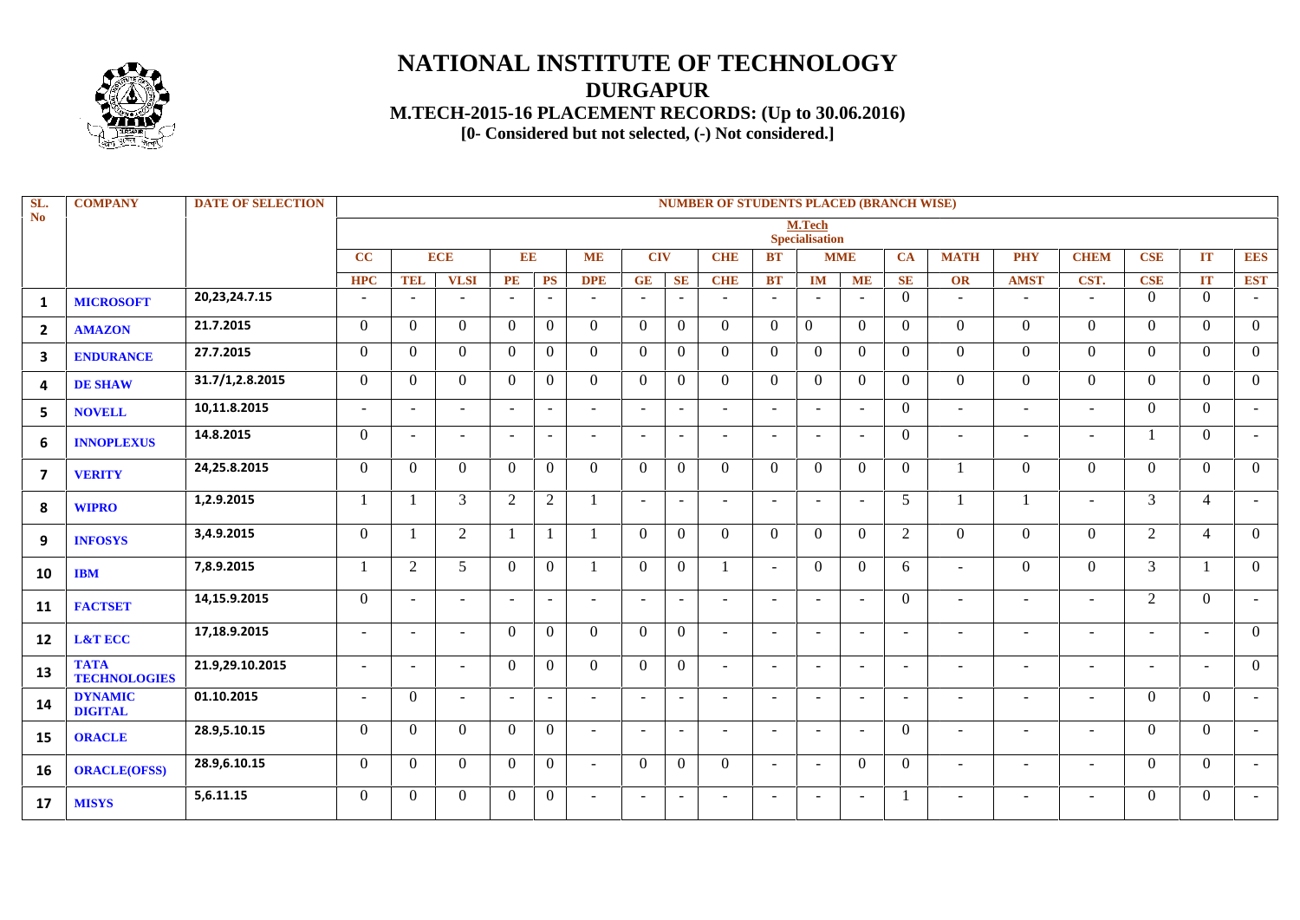

## **NATIONAL INSTITUTE OF TECHNOLOGY DURGAPUR M.TECH-2015-16 PLACEMENT RECORDS: (Up to 30.06.2016) PLACEMENT RECORDS:[0- Considered but not selected, (-) Not considered.]**

| SL.<br>No                 | <b>COMPANY</b>                     | <b>DATE OF SELECTION</b> | <b>NUMBER OF STUDENTS PLACED (BRANCH WISE)</b> |                          |                          |                |                |            |                          |                          |                |                          |                                 |                |                          |                          |                          |                          |                          |                |                          |
|---------------------------|------------------------------------|--------------------------|------------------------------------------------|--------------------------|--------------------------|----------------|----------------|------------|--------------------------|--------------------------|----------------|--------------------------|---------------------------------|----------------|--------------------------|--------------------------|--------------------------|--------------------------|--------------------------|----------------|--------------------------|
|                           |                                    |                          |                                                |                          |                          |                |                |            |                          |                          |                |                          | M.Tech<br><b>Specialisation</b> |                |                          |                          |                          |                          |                          |                |                          |
|                           |                                    |                          | CC                                             |                          | <b>ECE</b>               | EE             |                | <b>ME</b>  | <b>CIV</b>               |                          | <b>CHE</b>     | <b>BT</b>                |                                 | <b>MME</b>     | CA                       | <b>MATH</b>              | <b>PHY</b>               | <b>CHEM</b>              | <b>CSE</b>               | IT             | <b>EES</b>               |
|                           |                                    |                          | <b>HPC</b>                                     | <b>TEL</b>               | <b>VLSI</b>              | PE             | <b>PS</b>      | <b>DPE</b> | GE                       | SE                       | <b>CHE</b>     | <b>BT</b>                | <b>IM</b>                       | <b>ME</b>      | <b>SE</b>                | <b>OR</b>                | <b>AMST</b>              | CST.                     | CSE                      | <b>IT</b>      | <b>EST</b>               |
| $\mathbf{1}$              | <b>MICROSOFT</b>                   | 20,23,24.7.15            | $\sim$                                         | $\sim$                   | $\sim$                   | $\sim$         | $\sim$         | $\sim$     | $\sim$                   | $\sim$                   | $\sim$         | $\sim$                   | $\sim$                          | $\sim$         | $\Omega$                 | $\overline{\phantom{a}}$ | $\blacksquare$           | $\sim$                   | $\Omega$                 | $\theta$       | ٠                        |
| $\overline{2}$            | <b>AMAZON</b>                      | 21.7.2015                | $\Omega$                                       | $\Omega$                 | $\Omega$                 | $\Omega$       | $\overline{0}$ | $\Omega$   | $\Omega$                 | $\theta$                 | $\theta$       | $\theta$                 | $\Omega$                        | $\theta$       | $\Omega$                 | $\Omega$                 | $\theta$                 | $\Omega$                 | $\Omega$                 | $\Omega$       | $\Omega$                 |
| 3                         | <b>ENDURANCE</b>                   | 27.7.2015                | $\overline{0}$                                 | $\theta$                 | $\Omega$                 | $\overline{0}$ | $\overline{0}$ | $\Omega$   | $\theta$                 | $\theta$                 | $\overline{0}$ | $\overline{0}$           | $\theta$                        | $\overline{0}$ | $\theta$                 | $\Omega$                 | $\overline{0}$           | $\overline{0}$           | $\Omega$                 | $\overline{0}$ | $\Omega$                 |
| 4                         | <b>DE SHAW</b>                     | 31.7/1,2.8.2015          | $\Omega$                                       | $\Omega$                 | $\Omega$                 | $\Omega$       | $\Omega$       | $\Omega$   | $\Omega$                 | $\Omega$                 | $\theta$       | $\Omega$                 | $\Omega$                        | $\Omega$       | $\Omega$                 | $\Omega$                 | $\theta$                 | $\Omega$                 | $\Omega$                 | $\Omega$       | $\Omega$                 |
| 5                         | <b>NOVELL</b>                      | 10,11.8.2015             | $\sim$                                         | $\sim$                   | $\sim$                   | $\sim$         | $\sim$         | $\sim$     | $\overline{\phantom{a}}$ | $\sim$                   | $\sim$         | $\sim$                   |                                 | $\sim$         | $\theta$                 | $\sim$                   | $\sim$                   | $\sim$                   | $\Omega$                 | $\theta$       | $\overline{\phantom{a}}$ |
| 6                         | <b>INNOPLEXUS</b>                  | 14.8.2015                | $\Omega$                                       | $\overline{\phantom{a}}$ | $\blacksquare$           |                | $\sim$         |            |                          | $\overline{\phantom{a}}$ | $\sim$         | $\overline{a}$           |                                 | $\sim$         | $\theta$                 | $\overline{\phantom{a}}$ | $\overline{\phantom{a}}$ | $\overline{\phantom{a}}$ |                          | $\theta$       | $\overline{\phantom{a}}$ |
| $\boldsymbol{\mathsf{7}}$ | <b>VERITY</b>                      | 24,25.8.2015             | $\Omega$                                       | $\Omega$                 | $\Omega$                 | $\overline{0}$ | $\Omega$       | $\Omega$   | $\Omega$                 | $\Omega$                 | $\Omega$       | $\Omega$                 | $\Omega$                        | $\theta$       | $\Omega$                 |                          | $\Omega$                 | $\Omega$                 | $\Omega$                 | $\Omega$       | $\Omega$                 |
| 8                         | <b>WIPRO</b>                       | 1,2.9.2015               | $\mathbf{1}$                                   | -1                       | 3                        | $\overline{2}$ | $\overline{2}$ |            |                          | $\sim$                   | $\sim$         | $\sim$                   |                                 | $\sim$         | 5                        |                          | $\mathbf{1}$             | $\sim$                   | 3                        | $\overline{4}$ | ٠                        |
| 9                         | <b>INFOSYS</b>                     | 3,4.9.2015               | $\Omega$                                       | $\overline{1}$           | 2                        |                | $\mathbf{1}$   |            | $\Omega$                 | $\Omega$                 | $\Omega$       | $\Omega$                 | $\Omega$                        | $\theta$       | $\overline{2}$           | $\Omega$                 | $\Omega$                 | $\Omega$                 | 2                        | $\overline{4}$ | $\Omega$                 |
| 10                        | <b>IBM</b>                         | 7,8.9.2015               | $\mathbf{1}$                                   | 2                        | 5                        | $\Omega$       | $\Omega$       |            | $\theta$                 | $\theta$                 | 1              | $\sim$                   | $\Omega$                        | $\overline{0}$ | 6                        | $\overline{\phantom{a}}$ | $\theta$                 | $\Omega$                 | 3                        |                | $\Omega$                 |
| 11                        | <b>FACTSET</b>                     | 14,15.9.2015             | $\Omega$                                       | $\sim$                   | $\overline{\phantom{a}}$ | $\sim$         | $\sim$         | $\sim$     | $\overline{\phantom{a}}$ | $\sim$                   | $\sim$         | $\sim$                   | $\overline{\phantom{0}}$        | $\sim$         | $\Omega$                 | $\overline{\phantom{a}}$ | $\blacksquare$           | $\overline{\phantom{a}}$ | 2                        | $\Omega$       | $\overline{\phantom{a}}$ |
| $12 \overline{ }$         | <b>L&amp;T ECC</b>                 | 17,18.9.2015             | $\overline{\phantom{a}}$                       | $\sim$                   | $\overline{\phantom{a}}$ | $\overline{0}$ | $\overline{0}$ | $\Omega$   | $\theta$                 | $\theta$                 | $\sim$         | $\sim$                   |                                 | $\sim$         |                          | $\overline{\phantom{a}}$ | $\blacksquare$           | $\overline{\phantom{a}}$ | $\sim$                   | $\sim$         | $\Omega$                 |
| 13                        | <b>TATA</b><br><b>TECHNOLOGIES</b> | 21.9,29.10.2015          | $\sim$                                         | $\overline{\phantom{a}}$ | $\overline{\phantom{a}}$ | $\Omega$       | $\Omega$       | $\Omega$   | $\theta$                 | $\theta$                 | $\sim$         | $\sim$                   |                                 | $\sim$         | $\overline{\phantom{a}}$ | $\overline{\phantom{a}}$ | $\overline{\phantom{a}}$ | $\sim$                   | $\overline{\phantom{a}}$ | $\sim$         | $\Omega$                 |
| 14                        | <b>DYNAMIC</b><br><b>DIGITAL</b>   | 01.10.2015               | $\sim$                                         | $\Omega$                 | $\sim$                   | $\sim$         | $\sim$         | $\sim$     | $\overline{\phantom{a}}$ | $\blacksquare$           | $\sim$         | $\sim$                   | $\overline{\phantom{0}}$        | $\sim$         | $\overline{\phantom{0}}$ | $\overline{\phantom{a}}$ | $\sim$                   | $\sim$                   | $\Omega$                 | $\Omega$       | ۰                        |
| 15                        | <b>ORACLE</b>                      | 28.9,5.10.15             | $\Omega$                                       | $\Omega$                 | $\theta$                 | $\overline{0}$ | $\overline{0}$ | $\sim$     | $\sim$                   | $\sim$                   | $\sim$         | $\sim$                   | $\overline{\phantom{0}}$        | $\sim$         | $\theta$                 | $\overline{\phantom{a}}$ | $\sim$                   | $\sim$                   | $\Omega$                 | $\Omega$       | $\sim$                   |
| 16                        | <b>ORACLE(OFSS)</b>                | 28.9,6.10.15             | $\Omega$                                       | $\Omega$                 | $\Omega$                 | $\Omega$       | $\overline{0}$ | $\sim$     | $\Omega$                 | $\Omega$                 | $\Omega$       | $\sim$                   | $\overline{\phantom{0}}$        | $\theta$       | $\Omega$                 | $\overline{\phantom{a}}$ | $\sim$                   | $\sim$                   | $\Omega$                 | $\overline{0}$ | $\sim$                   |
| 17                        | <b>MISYS</b>                       | 5,6.11.15                | $\Omega$                                       | $\Omega$                 | $\Omega$                 | $\Omega$       | $\overline{0}$ |            |                          | $\overline{\phantom{a}}$ | $\sim$         | $\overline{\phantom{a}}$ |                                 | $\sim$         |                          |                          | $\overline{\phantom{a}}$ | $\overline{\phantom{a}}$ | $\Omega$                 | $\theta$       | ۰                        |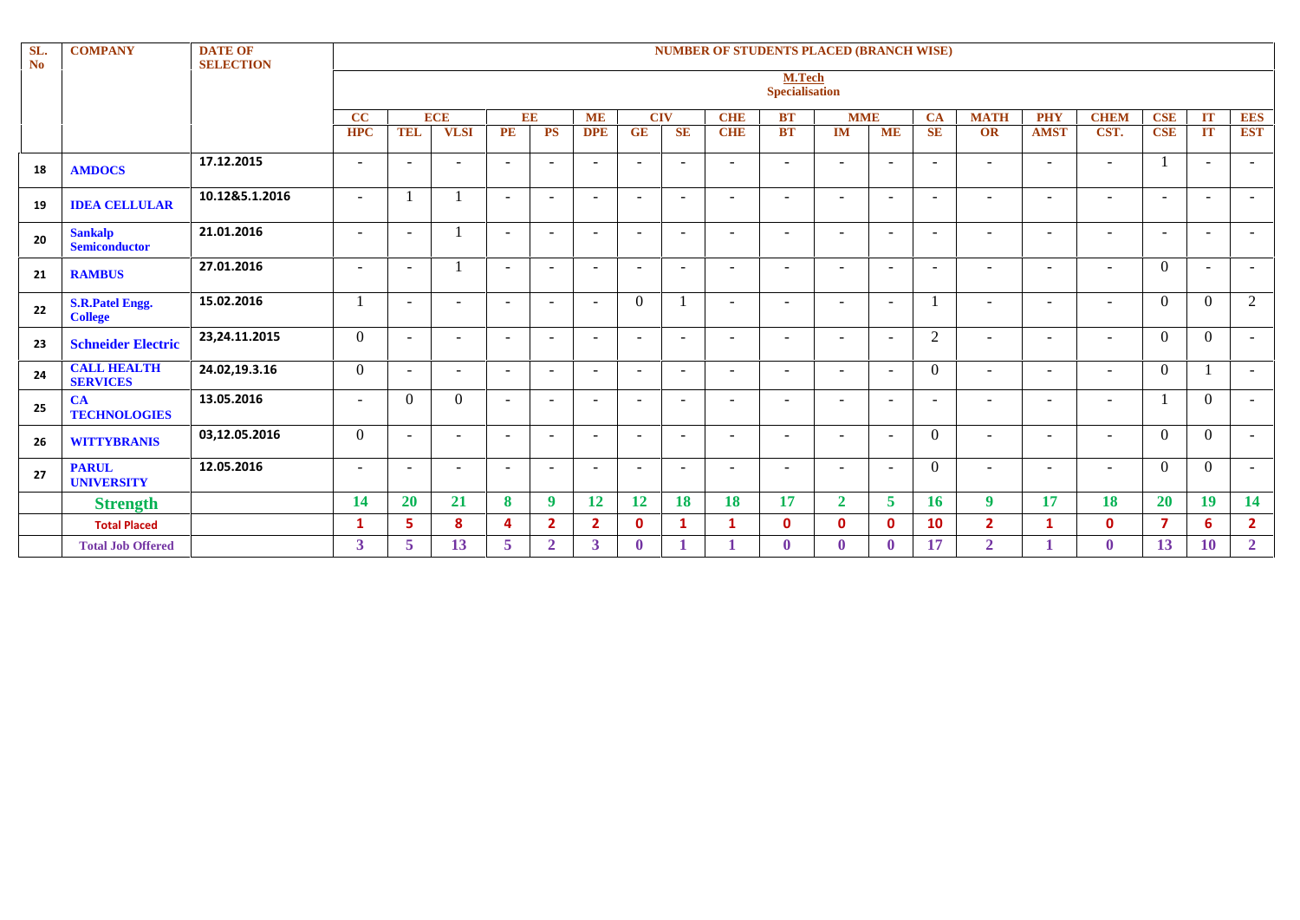| SL.<br>N <sub>o</sub> | <b>COMPANY</b>                           | <b>DATE OF</b><br><b>SELECTION</b> | <b>NUMBER OF STUDENTS PLACED (BRANCH WISE)</b> |                                                                                                                                |                          |                          |                          |                          |                          |                          |                          |                          |                          |                          |                          |                          |                          |                          |                          |                          |                          |
|-----------------------|------------------------------------------|------------------------------------|------------------------------------------------|--------------------------------------------------------------------------------------------------------------------------------|--------------------------|--------------------------|--------------------------|--------------------------|--------------------------|--------------------------|--------------------------|--------------------------|--------------------------|--------------------------|--------------------------|--------------------------|--------------------------|--------------------------|--------------------------|--------------------------|--------------------------|
|                       |                                          |                                    |                                                | M.Tech<br><b>Specialisation</b>                                                                                                |                          |                          |                          |                          |                          |                          |                          |                          |                          |                          |                          |                          |                          |                          |                          |                          |                          |
|                       |                                          |                                    | CC                                             | <b>ECE</b><br>EE<br><b>ME</b><br><b>CIV</b><br><b>CHE</b><br><b>BT</b><br><b>MME</b><br><b>MATH</b><br><b>PHY</b><br><b>CA</b> |                          |                          |                          |                          |                          |                          |                          |                          |                          | <b>CHEM</b>              | <b>CSE</b>               | IT                       | <b>EES</b>               |                          |                          |                          |                          |
|                       |                                          |                                    | <b>HPC</b>                                     | <b>TEL</b>                                                                                                                     | <b>VLSI</b>              | PE                       | <b>PS</b>                | <b>DPE</b>               | <b>GE</b>                | <b>SE</b>                | <b>CHIE</b>              | <b>BT</b>                | <b>IM</b>                | <b>ME</b>                | <b>SE</b>                | OR                       | <b>AMST</b>              | CST.                     | <b>CSE</b>               | IT                       | <b>EST</b>               |
| 18                    | <b>AMDOCS</b>                            | 17.12.2015                         | $\overline{\phantom{a}}$                       | $\sim$                                                                                                                         | $\overline{\phantom{a}}$ | $\sim$                   | $\overline{\phantom{a}}$ | $\sim$                   | $\overline{\phantom{a}}$ | $\sim$                   | $\sim$                   | $\sim$                   | $\overline{\phantom{a}}$ | $\sim$                   | $\overline{\phantom{a}}$ | $\overline{\phantom{a}}$ | $\overline{\phantom{0}}$ | $\sim$                   |                          | $\overline{\phantom{a}}$ | $\overline{\phantom{a}}$ |
| 19                    | <b>IDEA CELLULAR</b>                     | 10.12&5.1.2016                     | $\sim$                                         |                                                                                                                                |                          | $\sim$                   | $\sim$                   | $\sim$                   | $\overline{\phantom{a}}$ | $\sim$                   | $\sim$                   | $\sim$                   | $\overline{\phantom{a}}$ | $\sim$                   | $\sim$                   | $\overline{\phantom{a}}$ | $\sim$                   | $\sim$                   | $\overline{\phantom{a}}$ | $\overline{\phantom{a}}$ | $\overline{\phantom{a}}$ |
| 20                    | <b>Sankalp</b><br>Semiconductor          | 21.01.2016                         | $\overline{\phantom{a}}$                       | $\sim$                                                                                                                         |                          | $\sim$                   | $\sim$                   | $\sim$                   | $\overline{\phantom{a}}$ | $\sim$                   | $\sim$                   | $\sim$                   | $\overline{\phantom{a}}$ | $\sim$                   | $\overline{\phantom{a}}$ | $\overline{\phantom{a}}$ | $\sim$                   | $\sim$                   | $\overline{\phantom{a}}$ | $\overline{\phantom{a}}$ | $\overline{\phantom{a}}$ |
| 21                    | <b>RAMBUS</b>                            | 27.01.2016                         | $\overline{\phantom{a}}$                       | $\sim$                                                                                                                         |                          | $\sim$                   | $\overline{\phantom{a}}$ | $\overline{\phantom{a}}$ | $\overline{\phantom{a}}$ | $\sim$                   | $\sim$                   | $\sim$                   | $\overline{\phantom{a}}$ | $\overline{\phantom{a}}$ | $\overline{\phantom{a}}$ | $\overline{\phantom{a}}$ | $\sim$                   | $\sim$                   | $\Omega$                 | $\sim$                   | $\overline{\phantom{a}}$ |
| 22                    | <b>S.R.Patel Engg.</b><br><b>College</b> | 15.02.2016                         |                                                | $\sim$                                                                                                                         | $\overline{\phantom{a}}$ | $\sim$                   | $\overline{\phantom{a}}$ | $\sim$                   | $\theta$                 | 1                        | $\sim$                   | $\sim$                   | $\sim$                   | $\overline{\phantom{a}}$ |                          | $\overline{\phantom{a}}$ | $\sim$                   | $\overline{\phantom{a}}$ | $\overline{0}$           | $\overline{0}$           | 2                        |
| 23                    | <b>Schneider Electric</b>                | 23, 24. 11. 2015                   | $\boldsymbol{0}$                               | $\sim$                                                                                                                         | $\overline{\phantom{a}}$ | $\overline{\phantom{a}}$ | $\overline{\phantom{a}}$ | $\sim$                   | $\overline{\phantom{a}}$ | $\sim$                   | $\overline{\phantom{a}}$ | $\overline{\phantom{a}}$ | $\overline{\phantom{a}}$ | $\overline{\phantom{a}}$ | 2                        | $\overline{\phantom{a}}$ | $\overline{\phantom{0}}$ | $\sim$                   | $\theta$                 | $\overline{0}$           | $\overline{\phantom{a}}$ |
| 24                    | <b>CALL HEALTH</b><br><b>SERVICES</b>    | 24.02,19.3.16                      | $\boldsymbol{0}$                               | $\sim$                                                                                                                         | $\overline{\phantom{a}}$ | $\sim$                   | $\overline{\phantom{a}}$ | $\overline{\phantom{a}}$ | $\overline{\phantom{a}}$ | $\sim$                   | $\overline{\phantom{a}}$ | $\sim$                   | $\overline{\phantom{a}}$ | $\sim$                   | $\overline{0}$           | $\overline{\phantom{a}}$ | $\sim$                   | $\sim$                   | $\overline{0}$           | $\mathbf{I}$             | $\overline{\phantom{a}}$ |
| 25                    | CA<br><b>TECHNOLOGIES</b>                | 13.05.2016                         | $\overline{\phantom{a}}$                       | $\boldsymbol{0}$                                                                                                               | $\overline{0}$           | $\sim$                   | $\overline{\phantom{a}}$ | $\overline{\phantom{a}}$ |                          | $\overline{\phantom{a}}$ | Ξ.                       | $\sim$                   | $\overline{\phantom{a}}$ | $\overline{a}$           | $\overline{\phantom{a}}$ | $\overline{\phantom{a}}$ | $\overline{\phantom{a}}$ | $\overline{\phantom{a}}$ |                          | $\mathbf{0}$             | $\overline{\phantom{a}}$ |
| 26                    | <b>WITTYBRANIS</b>                       | 03,12.05.2016                      | $\boldsymbol{0}$                               | $\sim$                                                                                                                         | $\overline{\phantom{a}}$ | $\sim$                   | $\overline{\phantom{a}}$ | $\overline{\phantom{a}}$ | $\overline{\phantom{a}}$ | $\sim$                   | $\sim$                   | $\sim$                   | $\overline{\phantom{a}}$ | $\overline{\phantom{a}}$ | $\overline{0}$           | $\overline{\phantom{a}}$ | $\overline{\phantom{0}}$ | $\overline{\phantom{a}}$ | $\theta$                 | $\overline{0}$           | $\overline{\phantom{a}}$ |
| 27                    | <b>PARUL</b><br><b>UNIVERSITY</b>        | 12.05.2016                         | $\overline{\phantom{a}}$                       | $\overline{\phantom{a}}$                                                                                                       | $\overline{a}$           | $\overline{\phantom{a}}$ | $\overline{\phantom{a}}$ | $\sim$                   | $\overline{\phantom{a}}$ | $\sim$                   | $\overline{\phantom{a}}$ | $\overline{\phantom{a}}$ | $\overline{\phantom{a}}$ | $\overline{\phantom{a}}$ | $\overline{0}$           | $\overline{\phantom{a}}$ | $\overline{\phantom{0}}$ | $\sim$                   | $\theta$                 | $\overline{0}$           | $\overline{\phantom{a}}$ |
|                       | <b>Strength</b>                          |                                    | 14                                             | 20                                                                                                                             | 21                       | 8                        | 9                        | 12                       | 12                       | 18                       | 18                       | 17                       | $\overline{2}$           | $\overline{5}$           | <b>16</b>                | <b>9</b>                 | 17                       | 18                       | <b>20</b>                | 19 <sup>°</sup>          | 14                       |
|                       | <b>Total Placed</b>                      |                                    | 1                                              | 5.                                                                                                                             | 8                        | 4                        | $\overline{2}$           | $\mathbf{2}$             | $\mathbf{0}$             | $\mathbf{1}$             | 1                        | $\mathbf{0}$             | $\mathbf{0}$             | $\mathbf 0$              | 10                       | $\overline{2}$           | $\mathbf{1}$             | 0                        | 7                        | 6                        | $\overline{2}$           |
|                       | <b>Total Job Offered</b>                 |                                    | $\mathbf{3}$                                   | 5 <sup>5</sup>                                                                                                                 | 13                       | 5                        | $\overline{2}$           | $\mathbf{3}$             | $\mathbf{0}$             |                          |                          | $\mathbf{0}$             | $\mathbf{0}$             | $\mathbf{0}$             | 17                       | $\overline{2}$           |                          | $\mathbf{0}$             | <b>13</b>                | 10                       | $\overline{2}$           |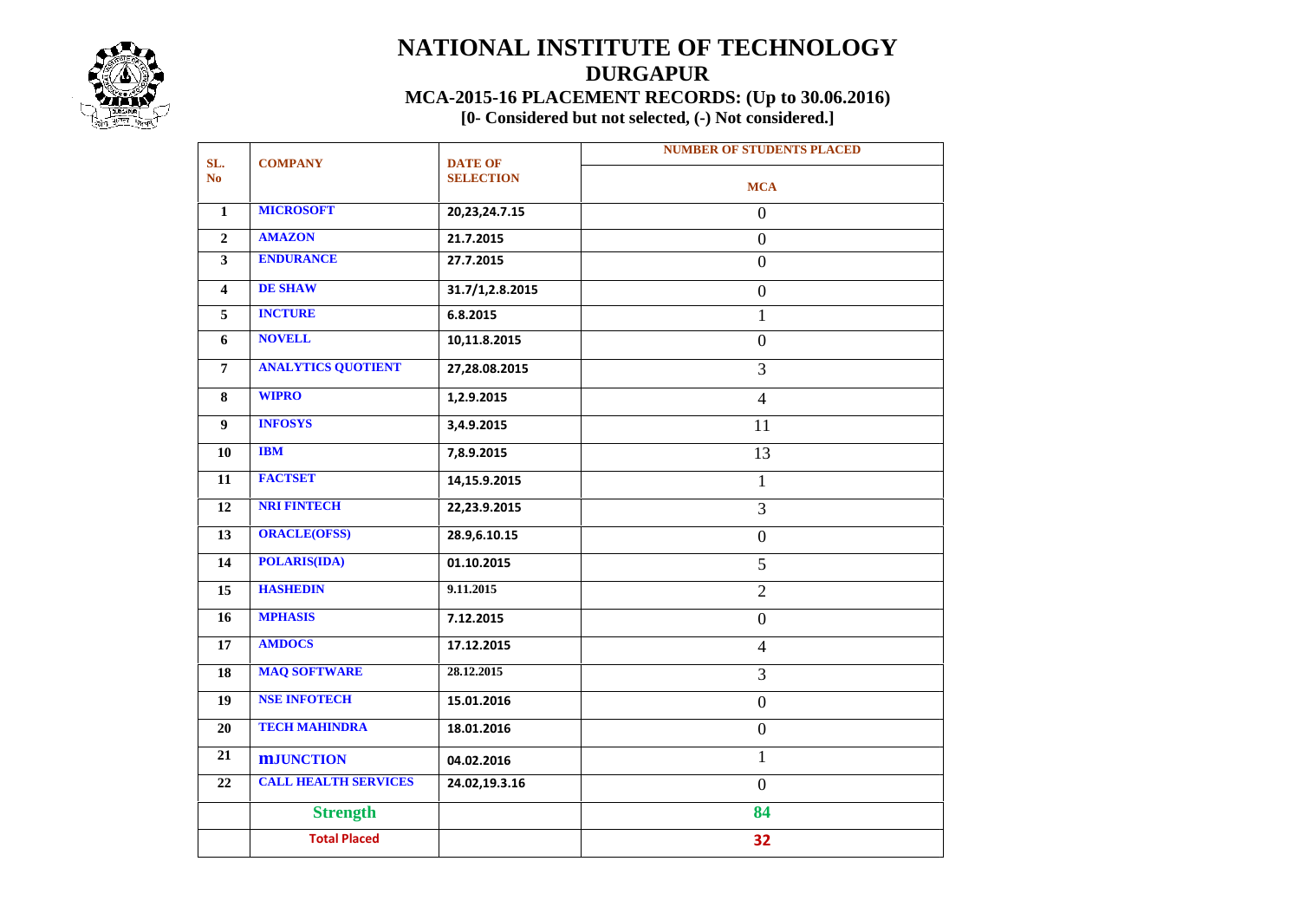

## **NATIONAL INSTITUTE OF TECHNOLOGY DURGAPUR MCA-2015-16 PLACEMENT RECORDS: (Up to 30.06.2016)**

**[0- Considered but not selected, (-) Not considered.]**

| SL.                     |                             |                                    | <b>NUMBER OF STUDENTS PLACED</b> |  |  |  |  |  |  |
|-------------------------|-----------------------------|------------------------------------|----------------------------------|--|--|--|--|--|--|
| N <sub>o</sub>          | <b>COMPANY</b>              | <b>DATE OF</b><br><b>SELECTION</b> | <b>MCA</b>                       |  |  |  |  |  |  |
| 1                       | <b>MICROSOFT</b>            | 20, 23, 24. 7. 15                  | $\mathbf{0}$                     |  |  |  |  |  |  |
| $\overline{2}$          | <b>AMAZON</b>               | 21.7.2015                          | $\overline{0}$                   |  |  |  |  |  |  |
| $\mathbf{3}$            | <b>ENDURANCE</b>            | 27.7.2015                          | $\overline{0}$                   |  |  |  |  |  |  |
| $\overline{\mathbf{4}}$ | <b>DE SHAW</b>              | 31.7/1,2.8.2015                    | $\overline{0}$                   |  |  |  |  |  |  |
| 5                       | <b>INCTURE</b>              | 6.8.2015                           | $\mathbf{1}$                     |  |  |  |  |  |  |
| 6                       | <b>NOVELL</b>               | 10,11.8.2015                       | $\overline{0}$                   |  |  |  |  |  |  |
| $\overline{7}$          | <b>ANALYTICS QUOTIENT</b>   | 27,28.08.2015                      | $\overline{3}$                   |  |  |  |  |  |  |
| 8                       | <b>WIPRO</b>                | 1,2.9.2015                         | $\overline{4}$                   |  |  |  |  |  |  |
| $\overline{9}$          | <b>INFOSYS</b>              | 3,4.9.2015                         | 11                               |  |  |  |  |  |  |
| 10                      | <b>IBM</b>                  | 7,8.9.2015                         | 13                               |  |  |  |  |  |  |
| 11                      | <b>FACTSET</b>              | 14,15.9.2015                       | $\mathbf{1}$                     |  |  |  |  |  |  |
| 12                      | <b>NRI FINTECH</b>          | 22,23.9.2015                       | $\overline{3}$                   |  |  |  |  |  |  |
| 13                      | <b>ORACLE(OFSS)</b>         | 28.9,6.10.15                       | $\mathbf{0}$                     |  |  |  |  |  |  |
| 14                      | <b>POLARIS(IDA)</b>         | 01.10.2015                         | 5                                |  |  |  |  |  |  |
| 15                      | <b>HASHEDIN</b>             | 9.11.2015                          | $\overline{2}$                   |  |  |  |  |  |  |
| 16                      | <b>MPHASIS</b>              | 7.12.2015                          | $\overline{0}$                   |  |  |  |  |  |  |
| 17                      | <b>AMDOCS</b>               | 17.12.2015                         | $\overline{4}$                   |  |  |  |  |  |  |
| 18                      | <b>MAQ SOFTWARE</b>         | 28.12.2015                         | $\overline{3}$                   |  |  |  |  |  |  |
| 19                      | <b>NSE INFOTECH</b>         | 15.01.2016                         | $\overline{0}$                   |  |  |  |  |  |  |
| 20                      | <b>TECH MAHINDRA</b>        | 18.01.2016                         | $\boldsymbol{0}$                 |  |  |  |  |  |  |
| 21                      | <b>MJUNCTION</b>            | 04.02.2016                         | $\mathbf{1}$                     |  |  |  |  |  |  |
| 22                      | <b>CALL HEALTH SERVICES</b> | 24.02,19.3.16                      | $\overline{0}$                   |  |  |  |  |  |  |
|                         | <b>Strength</b>             |                                    | 84                               |  |  |  |  |  |  |
|                         | <b>Total Placed</b>         |                                    | 32                               |  |  |  |  |  |  |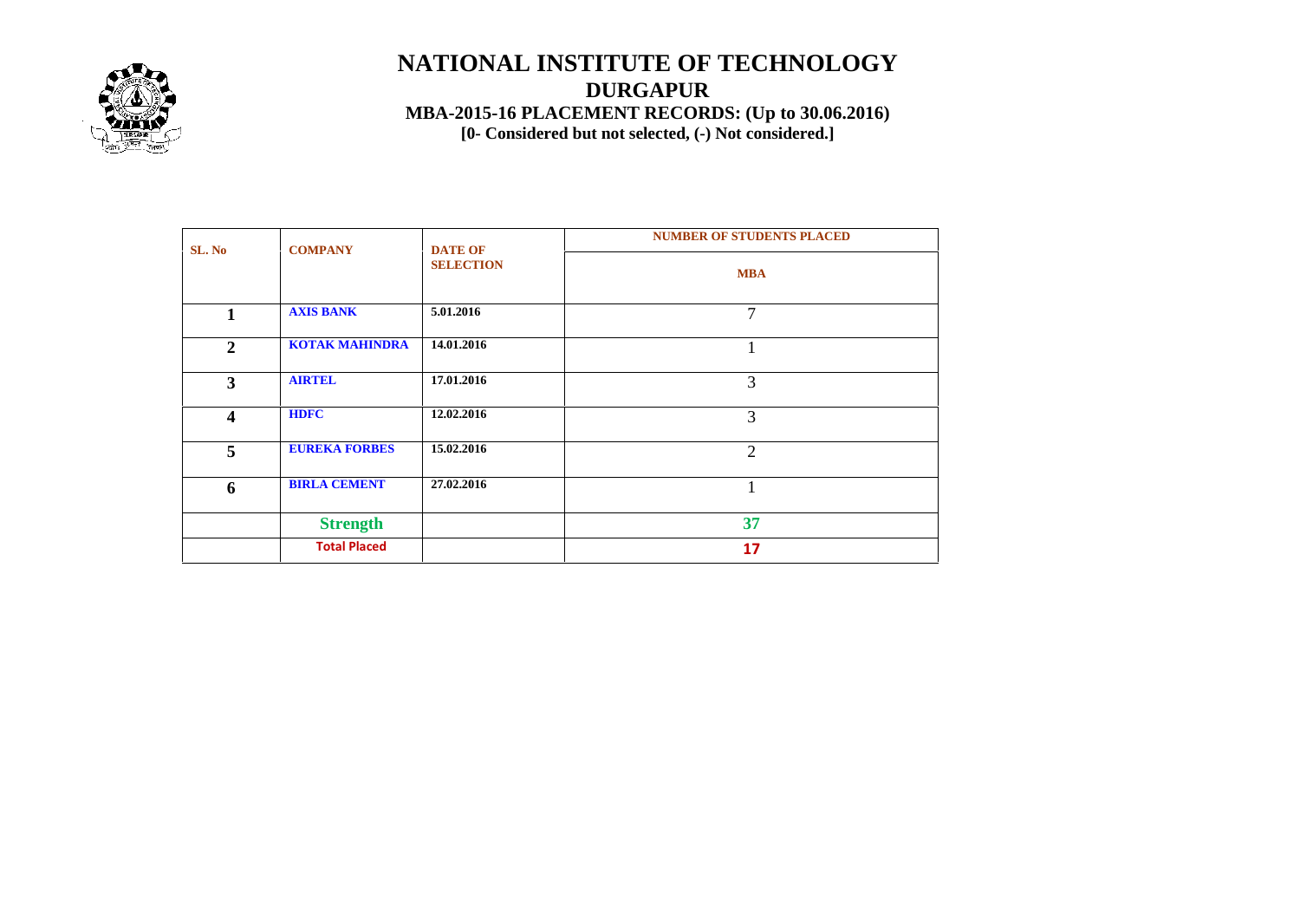

## **NATIONAL INSTITUTE OF TECHNOLOGY DURGAPUR MBA-2015-16 PLACEMENT RECORDS: (Up to 30.06.2016) [0- Considered but not selected, (-) Not considered.]**

| SL. No           | <b>COMPANY</b>        | <b>DATE OF</b>   | <b>NUMBER OF STUDENTS PLACED</b> |  |  |  |  |  |  |
|------------------|-----------------------|------------------|----------------------------------|--|--|--|--|--|--|
|                  |                       | <b>SELECTION</b> | <b>MBA</b>                       |  |  |  |  |  |  |
| 1                | <b>AXIS BANK</b>      | 5.01.2016        | 7                                |  |  |  |  |  |  |
| $\mathbf{2}$     | <b>KOTAK MAHINDRA</b> | 14.01.2016       |                                  |  |  |  |  |  |  |
| 3                | <b>AIRTEL</b>         | 17.01.2016       | 3                                |  |  |  |  |  |  |
| $\boldsymbol{4}$ | <b>HDFC</b>           | 12.02.2016       | 3                                |  |  |  |  |  |  |
| 5                | <b>EUREKA FORBES</b>  | 15.02.2016       | $\overline{2}$                   |  |  |  |  |  |  |
| 6                | <b>BIRLA CEMENT</b>   | 27.02.2016       |                                  |  |  |  |  |  |  |
|                  | <b>Strength</b>       |                  | 37                               |  |  |  |  |  |  |
|                  | <b>Total Placed</b>   |                  | 17                               |  |  |  |  |  |  |